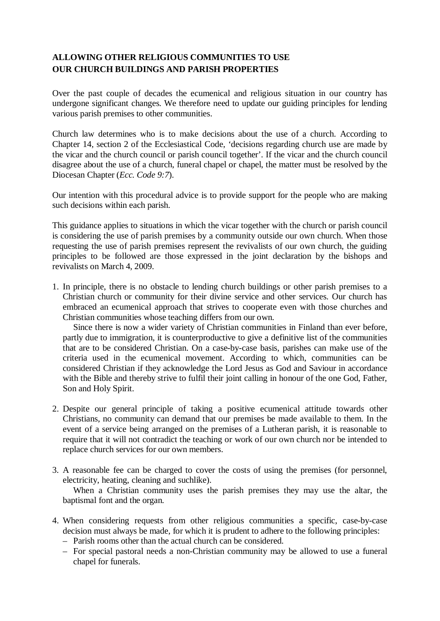## **ALLOWING OTHER RELIGIOUS COMMUNITIES TO USE OUR CHURCH BUILDINGS AND PARISH PROPERTIES**

Over the past couple of decades the ecumenical and religious situation in our country has undergone significant changes. We therefore need to update our guiding principles for lending various parish premises to other communities.

Church law determines who is to make decisions about the use of a church. According to Chapter 14, section 2 of the Ecclesiastical Code, 'decisions regarding church use are made by the vicar and the church council or parish council together'. If the vicar and the church council disagree about the use of a church, funeral chapel or chapel, the matter must be resolved by the Diocesan Chapter (*Ecc. Code 9:7*).

Our intention with this procedural advice is to provide support for the people who are making such decisions within each parish.

This guidance applies to situations in which the vicar together with the church or parish council is considering the use of parish premises by a community outside our own church. When those requesting the use of parish premises represent the revivalists of our own church, the guiding principles to be followed are those expressed in the joint declaration by the bishops and revivalists on March 4, 2009.

1. In principle, there is no obstacle to lending church buildings or other parish premises to a Christian church or community for their divine service and other services. Our church has embraced an ecumenical approach that strives to cooperate even with those churches and Christian communities whose teaching differs from our own.

Since there is now a wider variety of Christian communities in Finland than ever before, partly due to immigration, it is counterproductive to give a definitive list of the communities that are to be considered Christian. On a case-by-case basis, parishes can make use of the criteria used in the ecumenical movement. According to which, communities can be considered Christian if they acknowledge the Lord Jesus as God and Saviour in accordance with the Bible and thereby strive to fulfil their joint calling in honour of the one God, Father, Son and Holy Spirit.

- 2. Despite our general principle of taking a positive ecumenical attitude towards other Christians, no community can demand that our premises be made available to them. In the event of a service being arranged on the premises of a Lutheran parish, it is reasonable to require that it will not contradict the teaching or work of our own church nor be intended to replace church services for our own members.
- 3. A reasonable fee can be charged to cover the costs of using the premises (for personnel, electricity, heating, cleaning and suchlike).

 When a Christian community uses the parish premises they may use the altar, the baptismal font and the organ.

- 4. When considering requests from other religious communities a specific, case-by-case decision must always be made, for which it is prudent to adhere to the following principles:
	- Parish rooms other than the actual church can be considered.
	- For special pastoral needs a non-Christian community may be allowed to use a funeral chapel for funerals.